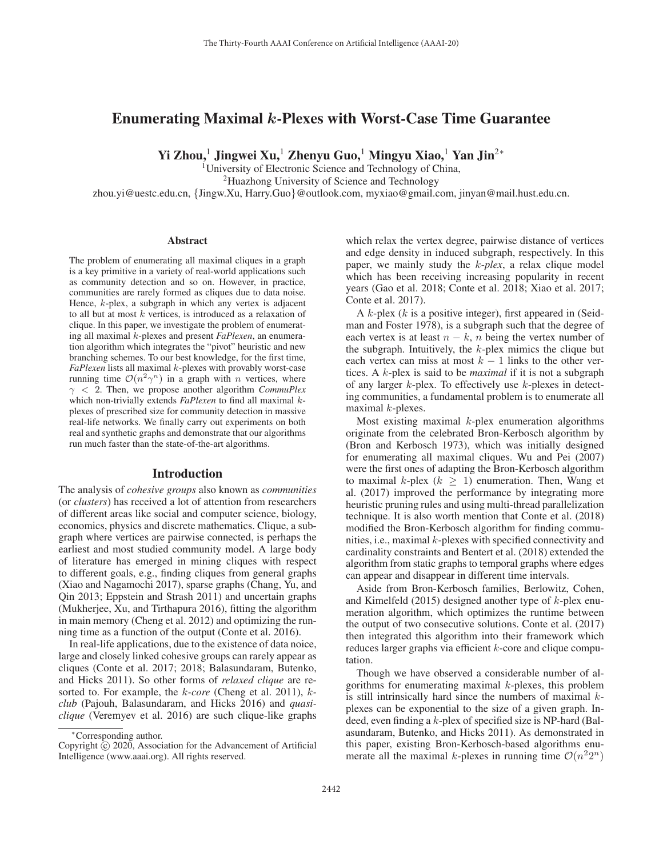# Enumerating Maximal *k*-Plexes with Worst-Case Time Guarantee

Yi Zhou,<sup>1</sup> Jingwei Xu,<sup>1</sup> Zhenyu Guo,<sup>1</sup> Mingyu Xiao,<sup>1</sup> Yan Jin<sup>2∗</sup>

<sup>1</sup>University of Electronic Science and Technology of China, 2Huazhong University of Science and Technology zhou.yi@uestc.edu.cn, {Jingw.Xu, Harry.Guo}@outlook.com, myxiao@gmail.com, jinyan@mail.hust.edu.cn.

### **Abstract**

The problem of enumerating all maximal cliques in a graph is a key primitive in a variety of real-world applications such as community detection and so on. However, in practice, communities are rarely formed as cliques due to data noise. Hence, k-plex, a subgraph in which any vertex is adjacent to all but at most  $k$  vertices, is introduced as a relaxation of clique. In this paper, we investigate the problem of enumerating all maximal k-plexes and present *FaPlexen*, an enumeration algorithm which integrates the "pivot" heuristic and new branching schemes. To our best knowledge, for the first time, *FaPlexen* lists all maximal k-plexes with provably worst-case running time  $\mathcal{O}(n^2\gamma^n)$  in a graph with *n* vertices, where γ < 2. Then, we propose another algorithm *CommuPlex* which non-trivially extends *FaPlexen* to find all maximal kplexes of prescribed size for community detection in massive real-life networks. We finally carry out experiments on both real and synthetic graphs and demonstrate that our algorithms run much faster than the state-of-the-art algorithms.

### Introduction

The analysis of *cohesive groups* also known as *communities* (or *clusters*) has received a lot of attention from researchers of different areas like social and computer science, biology, economics, physics and discrete mathematics. Clique, a subgraph where vertices are pairwise connected, is perhaps the earliest and most studied community model. A large body of literature has emerged in mining cliques with respect to different goals, e.g., finding cliques from general graphs (Xiao and Nagamochi 2017), sparse graphs (Chang, Yu, and Qin 2013; Eppstein and Strash 2011) and uncertain graphs (Mukherjee, Xu, and Tirthapura 2016), fitting the algorithm in main memory (Cheng et al. 2012) and optimizing the running time as a function of the output (Conte et al. 2016).

In real-life applications, due to the existence of data noice, large and closely linked cohesive groups can rarely appear as cliques (Conte et al. 2017; 2018; Balasundaram, Butenko, and Hicks 2011). So other forms of *relaxed clique* are resorted to. For example, the k*-core* (Cheng et al. 2011), k*club* (Pajouh, Balasundaram, and Hicks 2016) and *quasiclique* (Veremyev et al. 2016) are such clique-like graphs

which relax the vertex degree, pairwise distance of vertices and edge density in induced subgraph, respectively. In this paper, we mainly study the k-*plex*, a relax clique model which has been receiving increasing popularity in recent years (Gao et al. 2018; Conte et al. 2018; Xiao et al. 2017; Conte et al. 2017).

A k-plex (k is a positive integer), first appeared in (Seidman and Foster 1978), is a subgraph such that the degree of each vertex is at least  $n - k$ , n being the vertex number of the subgraph. Intuitively, the  $k$ -plex mimics the clique but each vertex can miss at most  $k - 1$  links to the other vertices. A k-plex is said to be *maximal* if it is not a subgraph of any larger  $k$ -plex. To effectively use  $k$ -plexes in detecting communities, a fundamental problem is to enumerate all maximal  $k$ -plexes.

Most existing maximal  $k$ -plex enumeration algorithms originate from the celebrated Bron-Kerbosch algorithm by (Bron and Kerbosch 1973), which was initially designed for enumerating all maximal cliques. Wu and Pei (2007) were the first ones of adapting the Bron-Kerbosch algorithm to maximal k-plex ( $k \geq 1$ ) enumeration. Then, Wang et al. (2017) improved the performance by integrating more heuristic pruning rules and using multi-thread parallelization technique. It is also worth mention that Conte et al. (2018) modified the Bron-Kerbosch algorithm for finding communities, i.e., maximal k-plexes with specified connectivity and cardinality constraints and Bentert et al. (2018) extended the algorithm from static graphs to temporal graphs where edges can appear and disappear in different time intervals.

Aside from Bron-Kerbosch families, Berlowitz, Cohen, and Kimelfeld (2015) designed another type of  $k$ -plex enumeration algorithm, which optimizes the runtime between the output of two consecutive solutions. Conte et al. (2017) then integrated this algorithm into their framework which reduces larger graphs via efficient  $k$ -core and clique computation.

Though we have observed a considerable number of algorithms for enumerating maximal  $k$ -plexes, this problem is still intrinsically hard since the numbers of maximal  $k$ plexes can be exponential to the size of a given graph. Indeed, even finding a  $k$ -plex of specified size is NP-hard (Balasundaram, Butenko, and Hicks 2011). As demonstrated in this paper, existing Bron-Kerbosch-based algorithms enumerate all the maximal k-plexes in running time  $\mathcal{O}(n^22^n)$ 

<sup>∗</sup>Corresponding author.

Copyright  $\odot$  2020, Association for the Advancement of Artificial Intelligence (www.aaai.org). All rights reserved.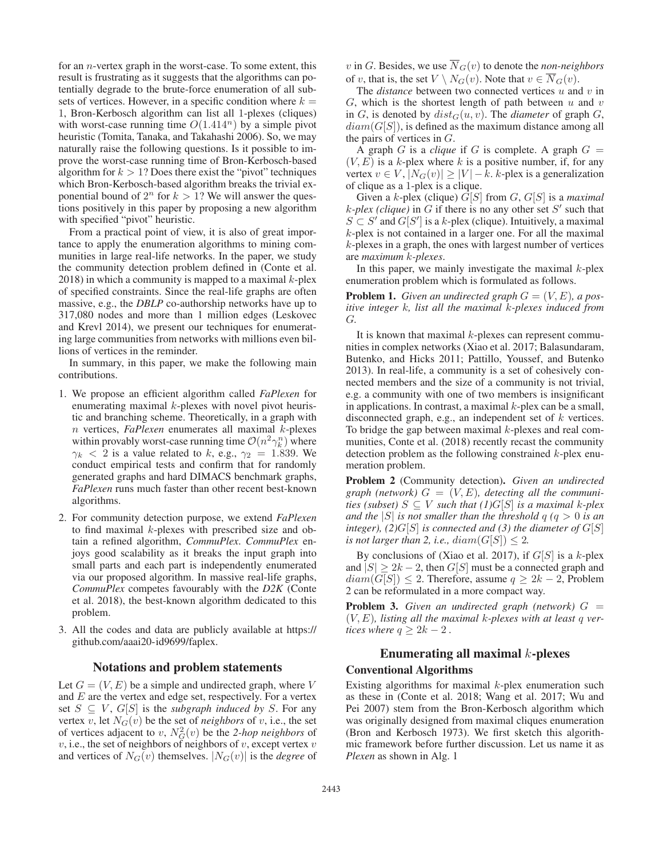for an n-vertex graph in the worst-case. To some extent, this result is frustrating as it suggests that the algorithms can potentially degrade to the brute-force enumeration of all subsets of vertices. However, in a specific condition where  $k =$ 1, Bron-Kerbosch algorithm can list all 1-plexes (cliques) with worst-case running time  $O(1.414^n)$  by a simple pivot heuristic (Tomita, Tanaka, and Takahashi 2006). So, we may naturally raise the following questions. Is it possible to improve the worst-case running time of Bron-Kerbosch-based algorithm for  $k > 1$ ? Does there exist the "pivot" techniques which Bron-Kerbosch-based algorithm breaks the trivial exponential bound of  $2^n$  for  $k > 1$ ? We will answer the questions positively in this paper by proposing a new algorithm with specified "pivot" heuristic.

From a practical point of view, it is also of great importance to apply the enumeration algorithms to mining communities in large real-life networks. In the paper, we study the community detection problem defined in (Conte et al.  $2018$ ) in which a community is mapped to a maximal k-plex of specified constraints. Since the real-life graphs are often massive, e.g., the *DBLP* co-authorship networks have up to 317,080 nodes and more than 1 million edges (Leskovec and Krevl 2014), we present our techniques for enumerating large communities from networks with millions even billions of vertices in the reminder.

In summary, in this paper, we make the following main contributions.

- 1. We propose an efficient algorithm called *FaPlexen* for enumerating maximal k-plexes with novel pivot heuristic and branching scheme. Theoretically, in a graph with n vertices, *FaPlexen* enumerates all maximal k-plexes within provably worst-case running time  $\mathcal{O}(n^2 \gamma_k^n)$  where  $\gamma_k$  < 2 is a value related to k, e.g.,  $\gamma_2$  = 1.839. We conduct empirical tests and confirm that for randomly generated graphs and hard DIMACS benchmark graphs, *FaPlexen* runs much faster than other recent best-known algorithms.
- 2. For community detection purpose, we extend *FaPlexen* to find maximal k-plexes with prescribed size and obtain a refined algorithm, *CommuPlex*. *CommuPlex* enjoys good scalability as it breaks the input graph into small parts and each part is independently enumerated via our proposed algorithm. In massive real-life graphs, *CommuPlex* competes favourably with the *D2K* (Conte et al. 2018), the best-known algorithm dedicated to this problem.
- 3. All the codes and data are publicly available at https:// github.com/aaai20-id9699/faplex.

### Notations and problem statements

Let  $G = (V, E)$  be a simple and undirected graph, where V and  $E$  are the vertex and edge set, respectively. For a vertex set  $S \subseteq V$ ,  $G[S]$  is the *subgraph induced by* S. For any vertex v, let  $N_G(v)$  be the set of *neighbors* of v, i.e., the set of vertices adjacent to v,  $N_G^2(v)$  be the 2-hop neighbors of  $v$ , i.e., the set of neighbors of neighbors of  $v$ , except vertex  $v$ and vertices of  $N_G(v)$  themselves.  $|N_G(v)|$  is the *degree* of v in G. Besides, we use  $\overline{N}_G(v)$  to denote the *non-neighbors* of v, that is, the set  $V \setminus N_G(v)$ . Note that  $v \in \overline{N}_G(v)$ .

The *distance* between two connected vertices u and v in G, which is the shortest length of path between  $u$  and  $v$ in G, is denoted by  $dist_G(u, v)$ . The *diameter* of graph G,  $diam(G[S])$ , is defined as the maximum distance among all the pairs of vertices in G.

A graph G is a *clique* if G is complete. A graph  $G =$  $(V, E)$  is a k-plex where k is a positive number, if, for any vertex  $v \in V$ ,  $|N_G(v)| \geq |V| - k$ . k-plex is a generalization of clique as a 1-plex is a clique.

Given a k-plex (clique) G[S] from G, G[S] is a *maximal*  $k$ -plex (clique) in G if there is no any other set  $S'$  such that  $S \subset S'$  and  $G[S']$  is a k-plex (clique). Intuitively, a maximal k-plex is not contained in a larger one. For all the maximal k-plexes in a graph, the ones with largest number of vertices are *maximum* k*-plexes*.

In this paper, we mainly investigate the maximal  $k$ -plex enumeration problem which is formulated as follows.

**Problem 1.** *Given an undirected graph*  $G = (V, E)$ *, a positive integer* k*, list all the maximal* k*-plexes induced from* G*.*

It is known that maximal  $k$ -plexes can represent communities in complex networks (Xiao et al. 2017; Balasundaram, Butenko, and Hicks 2011; Pattillo, Youssef, and Butenko 2013). In real-life, a community is a set of cohesively connected members and the size of a community is not trivial, e.g. a community with one of two members is insignificant in applications. In contrast, a maximal  $k$ -plex can be a small, disconnected graph, e.g., an independent set of  $k$  vertices. To bridge the gap between maximal  $k$ -plexes and real communities, Conte et al. (2018) recently recast the community detection problem as the following constrained  $k$ -plex enumeration problem.

Problem 2 (Community detection). *Given an undirected* graph (network)  $G = (V, E)$ , detecting all the communi*ties (subset)*  $S \subseteq V$  *such that (1)G[S] is a maximal k-plex and the*  $|S|$  *is not smaller than the threshold*  $q$  ( $q > 0$  *is an integer*),  $(2)G[S]$  *is connected and* (3) *the diameter of*  $G[S]$ *is not larger than 2, i.e.,*  $diam(G[S]) \leq 2$ .

By conclusions of (Xiao et al. 2017), if  $G[S]$  is a k-plex and  $|S| \geq 2k - 2$ , then  $G[S]$  must be a connected graph and  $diam(G[S]) \leq 2$ . Therefore, assume  $q \geq 2k - 2$ , Problem 2 can be reformulated in a more compact way.

Problem 3. *Given an undirected graph (network)* G = (V,E)*, listing all the maximal* k*-plexes with at least* q *vertices where*  $q \geq 2k - 2$ .

## Enumerating all maximal  $k$ -plexes Conventional Algorithms

Existing algorithms for maximal  $k$ -plex enumeration such as these in (Conte et al. 2018; Wang et al. 2017; Wu and Pei 2007) stem from the Bron-Kerbosch algorithm which was originally designed from maximal cliques enumeration (Bron and Kerbosch 1973). We first sketch this algorithmic framework before further discussion. Let us name it as *Plexen* as shown in Alg. 1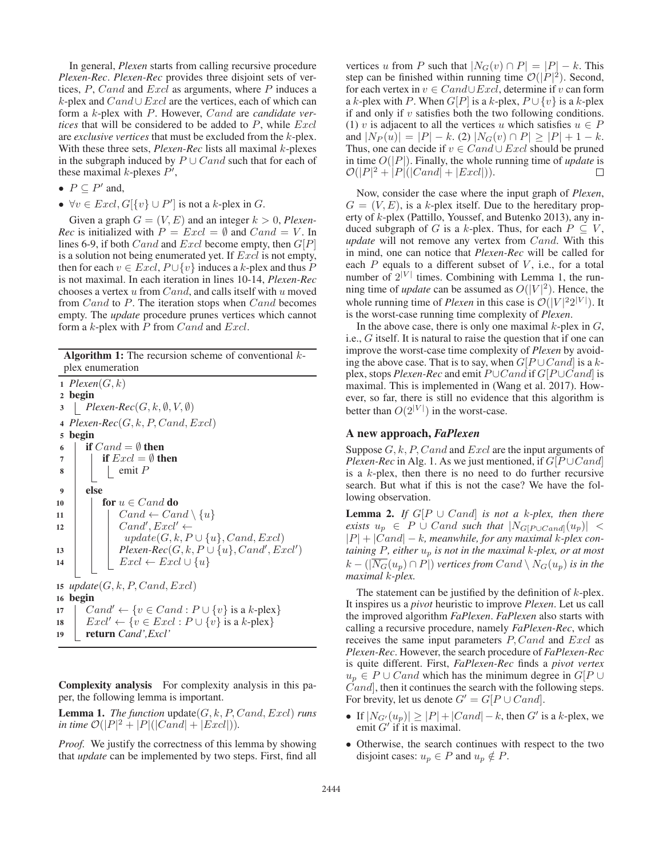In general, *Plexen* starts from calling recursive procedure *Plexen-Rec*. *Plexen-Rec* provides three disjoint sets of vertices, P, Cand and Excl as arguments, where P induces a  $k$ -plex and  $Cand∪Excl$  are the vertices, each of which can form a k-plex with P. However, Cand are *candidate vertices* that will be considered to be added to  $P$ , while  $Excl$ are *exclusive vertices* that must be excluded from the k-plex. With these three sets, *Plexen-Rec* lists all maximal k-plexes in the subgraph induced by  $P \cup Cand$  such that for each of these maximal *k*-plexes  $P'$ ,

- $P \subseteq P'$  and,
- $\forall v \in Excl$ ,  $G[\{v\} \cup P']$  is not a k-plex in  $G$ .

Given a graph  $G = (V, E)$  and an integer  $k > 0$ , *Plexen*-*Rec* is initialized with  $P = Excl = \emptyset$  and  $Cand = V$ . In lines 6-9, if both *Cand* and *Excl* become empty, then  $G[P]$ is a solution not being enumerated yet. If  $\emph{Excl}$  is not empty, then for each  $v \in Excl$ ,  $P \cup \{v\}$  induces a k-plex and thus P is not maximal. In each iteration in lines 10-14, *Plexen-Rec* chooses a vertex  $u$  from  $Cand$ , and calls itself with  $u$  moved from Cand to P. The iteration stops when Cand becomes empty. The *update* procedure prunes vertices which cannot form a  $k$ -plex with  $P$  from  $Cand$  and  $Excl$ .

**Algorithm 1:** The recursion scheme of conventional  $k$ plex enumeration

1  $Plexen(G, k)$ <sup>2</sup> begin  $\mathcal{S}$  | Plexen-Rec( $G, k, \emptyset, V, \emptyset$ ) 4  $Please(G, k, P, Cand, Excl)$ <sup>5</sup> begin 6 if  $Cand = \emptyset$  then 7 **if**  $\text{Excl} = \emptyset$  then  $\bullet$  | | emit P <sup>9</sup> else 10 **for**  $u \in C$  and **do** 11 | |  $Cand \leftarrow Cand \setminus \{u\}$ <sup>12</sup> Cand- , Excl- ←  $update(G, k, P \cup \{u\}, Cand, Excl)$ 13 **Plexen-Rec** $(G, k, P \cup \{u\}, Cand', Excl')$ 14  $\mid \cdot \mid$   $\text{Excl} \leftarrow \text{Excl} \cup \{u\}$ 15  $update(G, k, P, Cand, Excl)$ <sup>16</sup> begin 17  $\left[ \text{Cand'} \leftarrow \{v \in \text{Cand} : P \cup \{v\} \text{ is a } k\text{-plex} \}$ 18  $\left| \quad \text{Excl'} \leftarrow \{v \in \text{Excl} : P \cup \{v\} \text{ is a } k\text{-plex}\}\right|$ <sup>19</sup> return *Cand',Excl'*

Complexity analysis For complexity analysis in this paper, the following lemma is important.

**Lemma 1.** *The function*  $update(G, k, P, Cand, Excl)$  *runs in time*  $\mathcal{O}(|P|^2 + |P|(|Cand| + |Excl|)).$ 

*Proof.* We justify the correctness of this lemma by showing that *update* can be implemented by two steps. First, find all

vertices u from P such that  $|N_G(v) \cap P| = |P| - k$ . This step can be finished within running time  $\mathcal{O}(|P|^2)$ . Second, for each vertex in  $v \in Cand \cup Excl$ , determine if v can form a k-plex with P. When  $G[P]$  is a k-plex,  $P \cup \{v\}$  is a k-plex if and only if  $v$  satisfies both the two following conditions. (1) v is adjacent to all the vertices u which satisfies  $u \in P$ and  $|N_P(u)| = |P| - k$ . (2)  $|N_G(v) \cap P| \geq |P| + 1 - k$ . Thus, one can decide if  $v \in Cand \cup Excl$  should be pruned in time  $O(|P|)$ . Finally, the whole running time of *update* is  $\mathcal{O}(|P|^2 + |P|(|Cand| + |Excl|)).$ П

Now, consider the case where the input graph of *Plexen*,  $G = (V, E)$ , is a k-plex itself. Due to the hereditary property of k-plex (Pattillo, Youssef, and Butenko 2013), any induced subgraph of G is a k-plex. Thus, for each  $P \subseteq V$ , *update* will not remove any vertex from Cand. With this in mind, one can notice that *Plexen-Rec* will be called for each  $P$  equals to a different subset of  $V$ , i.e., for a total number of  $2^{|V|}$  times. Combining with Lemma 1, the running time of *update* can be assumed as  $O(|V|^2)$ . Hence, the whole running time of *Plexen* in this case is  $\mathcal{O}(|V|^2 2^{|V|})$ . It is the worst-case running time complexity of *Plexen*.

In the above case, there is only one maximal  $k$ -plex in  $G$ , i.e., G itself. It is natural to raise the question that if one can improve the worst-case time complexity of *Plexen* by avoiding the above case. That is to say, when  $G[P \cup Cand]$  is a kplex, stops *Plexen-Rec* and emit  $P ∪ C$ and if  $G[P ∪ C$ and is maximal. This is implemented in (Wang et al. 2017). However, so far, there is still no evidence that this algorithm is better than  $O(2^{|V|})$  in the worst-case.

## A new approach, *FaPlexen*

Suppose  $G, k, P, C and$  and  $Excl$  are the input arguments of *Plexen-Rec* in Alg. 1. As we just mentioned, if  $G[P \cup Cand]$ is a k-plex, then there is no need to do further recursive search. But what if this is not the case? We have the following observation.

**Lemma 2.** *If*  $G[P \cup Cand]$  *is not a k-plex, then there exists*  $u_p \in P \cup C$  *and such that*  $|N_{G[P\cup C \text{and}]}(u_p)|$  < |P| + |Cand| − k*, meanwhile, for any maximal* k*-plex containing* P*, either* u<sup>p</sup> *is not in the maximal* k*-plex, or at most*  $k - (|\overline{N_G}(u_n) \cap P|)$  *vertices from*  $Cand \setminus N_G(u_n)$  *is in the maximal* k*-plex.*

The statement can be justified by the definition of  $k$ -plex. It inspires us a *pivot* heuristic to improve *Plexen*. Let us call the improved algorithm *FaPlexen*. *FaPlexen* also starts with calling a recursive procedure, namely *FaPlexen-Rec*, which receives the same input parameters P, Cand and Excl as *Plexen-Rec*. However, the search procedure of *FaPlexen-Rec* is quite different. First, *FaPlexen-Rec* finds a *pivot vertex*  $u_p \in P \cup Cand$  which has the minimum degree in  $G[P \cup$ Cand], then it continues the search with the following steps. For brevity, let us denote  $G' = G[P \cup Cand]$ .

- If  $|N_{G'}(u_p)| \geq |P| + |Cand| k$ , then G' is a k-plex, we emit  $G'$  if it is maximal.
- Otherwise, the search continues with respect to the two disjoint cases:  $u_p \in P$  and  $u_p \notin P$ .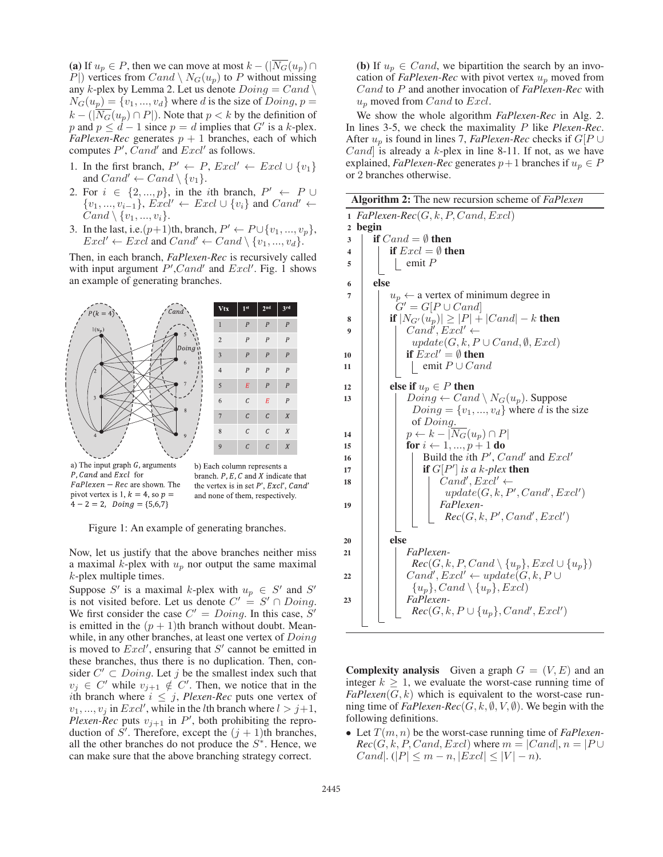(a) If  $u_p \in P$ , then we can move at most  $k - \left(\sqrt{\overline{N}_G}(u_p)\right) \cap$  $P$ ) vertices from  $Cand \setminus N_G(u_p)$  to P without missing any k-plex by Lemma 2. Let us denote  $Doing = Cand \setminus$  $N_G(u_p) = \{v_1, ..., v_d\}$  where d is the size of  $Doing, p =$  $k - (|\overline{N_G}(u_p) \cap P|)$ . Note that  $p < k$  by the definition of p and  $p \leq d - 1$  since  $p = d$  implies that G' is a k-plex. *FaPlexen-Rec* generates  $p + 1$  branches, each of which computes  $P'$ ,  $Cand'$  and  $Excl'$  as follows.

- 1. In the first branch,  $P' \leftarrow P$ ,  $\text{Excl}' \leftarrow \text{Excl} \cup \{v_1\}$ and  $Cand' \leftarrow Cand \setminus \{v_1\}.$
- 2. For  $i \in \{2, ..., p\}$ , in the *i*th branch,  $P' \leftarrow P \cup$  $\{v_1, ..., v_{i-1}\}, \, \text{Excl'} \leftarrow \text{Excl} \cup \{v_i\} \text{ and } \text{Cand'} \leftarrow$  $Cand \setminus \{v_1, ..., v_i\}.$
- 3. In the last, i.e. $(p+1)$ th, branch,  $P' \leftarrow P \cup \{v_1, ..., v_p\}$ ,  $\text{Excl'} \leftarrow \text{Excl}$  and  $\text{Cand'} \leftarrow \text{Cand} \setminus \{v_1, ..., v_d\}.$

Then, in each branch, *FaPlexen-Rec* is recursively called with input argument  $P', Cand'$  and  $Excl'.$  Fig. 1 shows an example of generating branches.







Figure 1: An example of generating branches.

Now, let us justify that the above branches neither miss a maximal  $k$ -plex with  $u_p$  nor output the same maximal k-plex multiple times.

Suppose S' is a maximal k-plex with  $u_p \in S'$  and S' is not visited before. Let us denote  $C' = S' \cap Doing$ . We first consider the case  $C' = Doing$ . In this case, S' is emitted in the  $(p + 1)$ th branch without doubt. Meanwhile, in any other branches, at least one vertex of  $Doing$ is moved to  $\text{Excl}'$ , ensuring that  $S'$  cannot be emitted in these branches, thus there is no duplication. Then, consider  $C' \subset Doing$ . Let j be the smallest index such that  $v_j \in C'$  while  $v_{j+1} \notin C'$ . Then, we notice that in the ith branch where  $i \leq j$ , *Plexen-Rec* puts one vertex of  $v_1, ..., v_j$  in  $\text{Excl}'$ , while in the *l*th branch where  $l > j+1$ , *Plexen-Rec* puts  $v_{j+1}$  in  $P'$ , both prohibiting the reproduction of S'. Therefore, except the  $(j + 1)$ th branches, all the other branches do not produce the  $S^*$ . Hence, we can make sure that the above branching strategy correct.

(b) If  $u_p \in Cand$ , we bipartition the search by an invocation of *FaPlexen-Rec* with pivot vertex  $u_p$  moved from Cand to P and another invocation of *FaPlexen-Rec* with  $u_p$  moved from *Cand* to *Excl*.

We show the whole algorithm *FaPlexen-Rec* in Alg. 2. In lines 3-5, we check the maximality P like *Plexen-Rec*. After  $u_p$  is found in lines 7, *FaPlexen-Rec* checks if  $G[P \cup$ *Cand* is already a  $k$ -plex in line 8-11. If not, as we have explained, *FaPlexen-Rec* generates  $p+1$  branches if  $u_p \in P$ or 2 branches otherwise.

Algorithm 2: The new recursion scheme of *FaPlexen* 1  $FaPleaseRec(G, k, P, Cand, Excl)$ 2 begin  $3 \quad \text{if } Cand = \emptyset \text{ then}$ 4 if  $\text{Excl} = \emptyset$  then  $5 \mid \cdot \cdot \cdot \cdot \cdot P$ 6 else 7  $| \t u_p \leftarrow$  a vertex of minimum degree in  $G' = G[P \cup Cand]$ 8 if  $|N_{G'}(u_p)| \geq |P| + |Cand| - k$  then 9 | |  $Cand', Excl' \leftarrow$  $update(G, k, P \cup Cand, \emptyset, Excl)$ 10 **if**  $\text{Excl}' = \emptyset$  then 11 | emit  $P \cup Cand$ 12 else if  $u_p \in P$  then 13 | |  $Doing \leftarrow Cand \setminus N_G(u_p)$ . Suppose  $Doing = \{v_1, ..., v_d\}$  where d is the size of Doing. 14 | |  $p \leftarrow k - |N_G(u_p) \cap P|$ 15 **for**  $i \leftarrow 1, ..., p + 1$  do <sup>16</sup> Build the ith P- , Cand- and Excl- 17 **if**  $G[P']$  is a k-plex then 18 | | |  $Cand', Excl' \leftarrow$  $update(G, k, P', Cand', Excl')$ <sup>19</sup> *FaPlexen-* $Rec(G, k, P', Cand', Excl')$  $20$  else <sup>21</sup> *FaPlexen-* $Rec(G, k, P, Cand \setminus \{u_p\}, Excl \cup \{u_p\})$ 22 | |  $Cand', Excl' \leftarrow update(G, k, P \cup$  ${u_p}, Cand \setminus {u_p}, Excl$ <sup>23</sup> *FaPlexen-* $Rec(G, k, P \cup \{u_p\}, Cand', Excl')$ 

**Complexity analysis** Given a graph  $G = (V, E)$  and an integer  $k \geq 1$ , we evaluate the worst-case running time of  $FaPlease(n, k)$  which is equivalent to the worst-case running time of  $FaPlexen-Rec(G, k, \emptyset, V, \emptyset)$ . We begin with the following definitions.

• Let  $T(m, n)$  be the worst-case running time of *FaPlexen*- $Rec(G, k, P, Cand, Excl)$  where  $m = |Cand, n = |P \cup$ Cand|.  $(|P| \leq m - n, |Excl| \leq |V| - n$ ).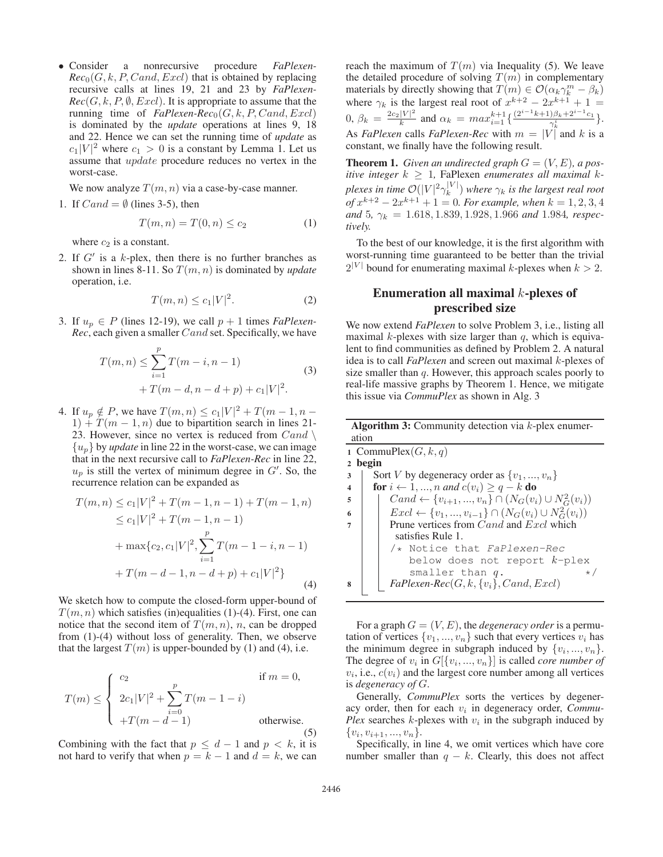• Consider a nonrecursive procedure *FaPlexen-* $Rec_0(G, k, P, Cand, Excl)$  that is obtained by replacing recursive calls at lines 19, 21 and 23 by *FaPlexen-* $Rec(G, k, P, \emptyset, Excl)$ . It is appropriate to assume that the running time of  $FaPlexen-Rec<sub>0</sub>(G, k, P, Cand, Excl)$ is dominated by the *update* operations at lines 9, 18 and 22. Hence we can set the running time of *update* as  $c_1|V|^2$  where  $c_1 > 0$  is a constant by Lemma 1. Let us assume that update procedure reduces no vertex in the worst-case.

We now analyze  $T(m, n)$  via a case-by-case manner.

1. If  $Cand = \emptyset$  (lines 3-5), then

$$
T(m, n) = T(0, n) \le c_2 \tag{1}
$$

where  $c_2$  is a constant.

2. If  $G'$  is a k-plex, then there is no further branches as shown in lines 8-11. So T(m, n) is dominated by *update* operation, i.e.

$$
T(m,n) \le c_1 |V|^2. \tag{2}
$$

3. If  $u_p \in P$  (lines 12-19), we call  $p + 1$  times *FaPlexen*-*Rec*, each given a smaller Cand set. Specifically, we have

$$
T(m, n) \le \sum_{i=1}^{p} T(m - i, n - 1)
$$
  
+ 
$$
T(m - d, n - d + p) + c_1 |V|^2.
$$
 (3)

4. If  $u_p \notin P$ , we have  $T(m, n) \le c_1 |V|^2 + T(m - 1, n - 1)$  $1) + T(m - 1, n)$  due to bipartition search in lines 21-23. However, since no vertex is reduced from  $Cand \setminus$  $\{u_p\}$  by *update* in line 22 in the worst-case, we can image that in the next recursive call to *FaPlexen-Rec* in line 22,  $u_p$  is still the vertex of minimum degree in  $G'$ . So, the recurrence relation can be expanded as

$$
T(m, n) \le c_1 |V|^2 + T(m - 1, n - 1) + T(m - 1, n)
$$
  
\n
$$
\le c_1 |V|^2 + T(m - 1, n - 1)
$$
  
\n
$$
+ \max\{c_2, c_1 |V|^2, \sum_{i=1}^p T(m - 1 - i, n - 1)
$$
  
\n
$$
+ T(m - d - 1, n - d + p) + c_1 |V|^2\}
$$
\n(4)

We sketch how to compute the closed-form upper-bound of  $T(m, n)$  which satisfies (in)equalities (1)-(4). First, one can notice that the second item of  $T(m, n)$ , n, can be dropped from (1)-(4) without loss of generality. Then, we observe that the largest  $T(m)$  is upper-bounded by (1) and (4), i.e.

$$
T(m) \le \begin{cases} c_2 & \text{if } m = 0, \\ 2c_1|V|^2 + \sum_{i=0}^{p} T(m-1-i) \\ +T(m-d-1) & \text{otherwise.} \end{cases}
$$
(5)

Combining with the fact that  $p \leq d - 1$  and  $p < k$ , it is not hard to verify that when  $p = k - 1$  and  $d = k$ , we can reach the maximum of  $T(m)$  via Inequality (5). We leave the detailed procedure of solving  $T(m)$  in complementary materials by directly showing that  $T(m) \in \mathcal{O}(\alpha_k \gamma_k^m - \beta_k)$ where  $\gamma_k$  is the largest real root of  $x^{k+2} - 2x^{k+1} + 1 =$ 0,  $\beta_k = \frac{2c_2|V|^2}{k}$  and  $\alpha_k = max_{i=1}^{k+1} \left\{ \frac{(2^{i-1}k+1)\beta_k + 2^{i-1}c_1}{\gamma_k^i} \right\}.$ As *FaPlexen* calls *FaPlexen-Rec* with  $m = |V|$  and k is a constant, we finally have the following result.

**Theorem 1.** *Given an undirected graph*  $G = (V, E)$ *, a positive integer*  $k \geq 1$ , FaPlexen *enumerates all maximal*  $k$ *plexes in time*  $O(|V|^2 \gamma_k^{|V|})$  where  $\gamma_k$  is the largest real root *of*  $x^{k+2} - 2x^{k+1} + 1 = 0$ *. For example, when*  $k = 1, 2, 3, 4$ *and* 5*,* γ<sup>k</sup> = 1.618, 1.839, 1.928, 1.966 *and* 1.984*, respectively.*

To the best of our knowledge, it is the first algorithm with worst-running time guaranteed to be better than the trivial  $2^{|V|}$  bound for enumerating maximal k-plexes when  $k > 2$ .

# Enumeration all maximal  $k$ -plexes of prescribed size

We now extend *FaPlexen* to solve Problem 3, i.e., listing all maximal  $k$ -plexes with size larger than  $q$ , which is equivalent to find communities as defined by Problem 2. A natural idea is to call *FaPlexen* and screen out maximal k-plexes of size smaller than  $q$ . However, this approach scales poorly to real-life massive graphs by Theorem 1. Hence, we mitigate this issue via *CommuPlex* as shown in Alg. 3

| <b>Algorithm 3:</b> Community detection via $k$ -plex enumer- |                                                                             |  |  |  |  |  |  |  |
|---------------------------------------------------------------|-----------------------------------------------------------------------------|--|--|--|--|--|--|--|
| ation                                                         |                                                                             |  |  |  |  |  |  |  |
| 1 CommuPlex $(G, k, q)$                                       |                                                                             |  |  |  |  |  |  |  |
| 2 begin                                                       |                                                                             |  |  |  |  |  |  |  |
| 3                                                             | Sort V by degeneracy order as $\{v_1, , v_n\}$                              |  |  |  |  |  |  |  |
| $\overline{\mathbf{4}}$                                       | for $i \leftarrow 1, , n$ and $c(v_i) \geq q - k$ do                        |  |  |  |  |  |  |  |
| 5                                                             | $Cand \leftarrow \{v_{i+1},, v_n\} \cap (N_G(v_i) \cup N_G^2(v_i))$         |  |  |  |  |  |  |  |
| 6                                                             | $\text{Excl} \leftarrow \{v_1, , v_{i-1}\} \cap (N_G(v_i) \cup N_G^2(v_i))$ |  |  |  |  |  |  |  |
|                                                               | Prune vertices from <i>Cand</i> and <i>Excl</i> which                       |  |  |  |  |  |  |  |
|                                                               | satisfies Rule 1.                                                           |  |  |  |  |  |  |  |
|                                                               | /* Notice that FaPlexen-Rec                                                 |  |  |  |  |  |  |  |
|                                                               | below does not report $k$ -plex                                             |  |  |  |  |  |  |  |
|                                                               | smaller than $q$ .<br>$\star/$                                              |  |  |  |  |  |  |  |
| 8                                                             | $FaPlexen-Rec(G, k, \{v_i\}, Cand, Excl)$                                   |  |  |  |  |  |  |  |

For a graph  $G = (V, E)$ , the *degeneracy order* is a permutation of vertices  $\{v_1, ..., v_n\}$  such that every vertices  $v_i$  has the minimum degree in subgraph induced by  $\{v_i, ..., v_n\}$ . The degree of  $v_i$  in  $G[\{v_i, ..., v_n\}]$  is called *core number of*  $v_i$ , i.e.,  $c(v_i)$  and the largest core number among all vertices is *degeneracy of* G.

Generally, *CommuPlex* sorts the vertices by degeneracy order, then for each  $v_i$  in degeneracy order, *Commu*-*Plex* searches  $k$ -plexes with  $v_i$  in the subgraph induced by  $\{v_i, v_{i+1}, ..., v_n\}.$ 

Specifically, in line 4, we omit vertices which have core number smaller than  $q - k$ . Clearly, this does not affect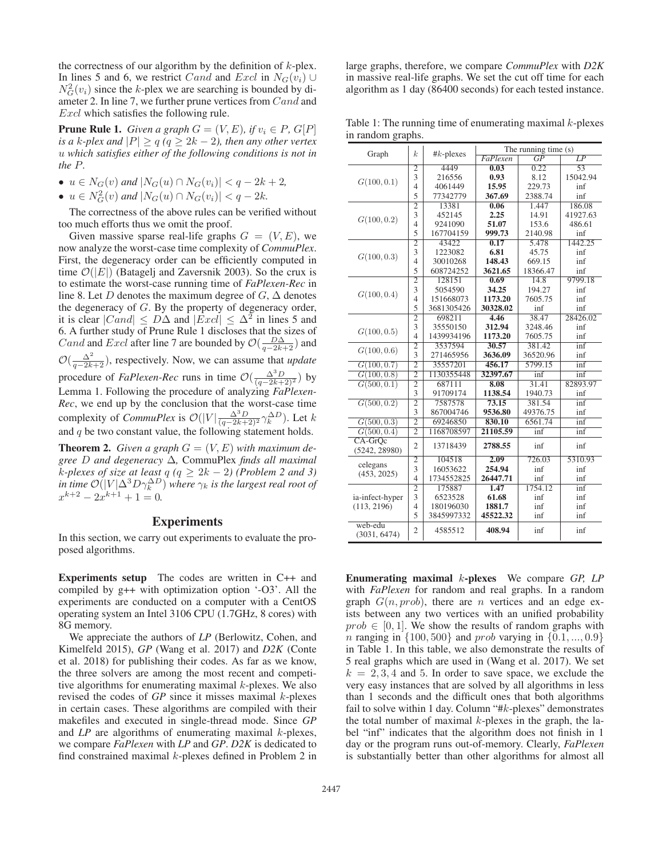the correctness of our algorithm by the definition of  $k$ -plex. In lines 5 and 6, we restrict Cand and Excl in  $N_G(v_i)$  ∪  $N_G^2(v_i)$  since the k-plex we are searching is bounded by diameter 2. In line 7, we further prune vertices from Cand and Excl which satisfies the following rule.

**Prune Rule 1.** *Given a graph*  $G = (V, E)$ *, if*  $v_i \in P$ *, G[P] is a* k-plex and  $|P| \ge q$  ( $q \ge 2k - 2$ ), then any other vertex u *which satisfies either of the following conditions is not in the* P*.*

- $u \in N_G(v)$  and  $|N_G(u) \cap N_G(v_i)| < q-2k+2$ ,
- $u \in N_G^2(v)$  and  $|N_G(u) \cap N_G(v_i)| < q-2k$ .

The correctness of the above rules can be verified without too much efforts thus we omit the proof.

Given massive sparse real-life graphs  $G = (V, E)$ , we now analyze the worst-case time complexity of *CommuPlex*. First, the degeneracy order can be efficiently computed in time  $\mathcal{O}(|E|)$  (Batagelj and Zaversnik 2003). So the crux is to estimate the worst-case running time of *FaPlexen-Rec* in line 8. Let D denotes the maximum degree of  $G$ ,  $\Delta$  denotes the degeneracy of  $G$ . By the property of degeneracy order, it is clear  $|Cand| \leq D\Delta$  and  $|\overline{Excl}| \leq \Delta^2$  in lines 5 and 6. A further study of Prune Rule 1 discloses that the sizes of Cand and Excl after line 7 are bounded by  $\mathcal{O}(\frac{D\Delta}{q-2k+2})$  and  $\mathcal{O}(\frac{\Delta^2}{q-2k+2})$ , respectively. Now, we can assume that *update* procedure of *FaPlexen-Rec* runs in time  $\mathcal{O}\left(\frac{\Delta^3 D}{(q-2k+2)^2}\right)$  by Lemma 1. Following the procedure of analyzing *FaPlexen-Rec*, we end up by the conclusion that the worst-case time complexity of *CommuPlex* is  $\mathcal{O}(|V| \frac{\Delta^3 D}{(q-2k+2)^2} \gamma_k^{\Delta D})$ . Let k and  $q$  be two constant value, the following statement holds.

**Theorem 2.** Given a graph  $G = (V, E)$  with maximum de*gree* D *and degeneracy* Δ*,* CommuPlex *finds all maximal k*-plexes of size at least  $q$  ( $q \geq 2k - 2$ ) (Problem 2 and 3) *in time*  $\mathcal{O}(|V|\Delta^3 D \gamma_k^{\Delta D})$  where  $\gamma_k$  *is the largest real root of*  $x^{k+2} - 2x^{k+1} + 1 = 0.$ 

### Experiments

In this section, we carry out experiments to evaluate the proposed algorithms.

Experiments setup The codes are written in C++ and compiled by g++ with optimization option '-O3'. All the experiments are conducted on a computer with a CentOS operating system an Intel 3106 CPU (1.7GHz, 8 cores) with 8G memory.

We appreciate the authors of *LP* (Berlowitz, Cohen, and Kimelfeld 2015), *GP* (Wang et al. 2017) and *D2K* (Conte et al. 2018) for publishing their codes. As far as we know, the three solvers are among the most recent and competitive algorithms for enumerating maximal  $k$ -plexes. We also revised the codes of *GP* since it misses maximal k-plexes in certain cases. These algorithms are compiled with their makefiles and executed in single-thread mode. Since *GP* and *LP* are algorithms of enumerating maximal *k*-plexes, we compare *FaPlexen* with *LP* and *GP*. *D2K* is dedicated to find constrained maximal  $k$ -plexes defined in Problem 2 in

large graphs, therefore, we compare *CommuPlex* with *D2K* in massive real-life graphs. We set the cut off time for each algorithm as 1 day (86400 seconds) for each tested instance.

Table 1: The running time of enumerating maximal  $k$ -plexes in random graphs.

| Graph                   | $\boldsymbol{k}$ | #k-plexes           | The running time $(s)$ |                 |                 |  |  |  |
|-------------------------|------------------|---------------------|------------------------|-----------------|-----------------|--|--|--|
|                         |                  |                     | FaPlexen               | $\overline{GP}$ | $\overline{LP}$ |  |  |  |
|                         | $\overline{2}$   | 4449                | 0.03                   | 0.22            | 53              |  |  |  |
| G(100, 0.1)             | 3                | 216556              | 0.93                   | 8.12            | 15042.94        |  |  |  |
|                         | 4                | 4061449             | 15.95                  | 229.73          | inf             |  |  |  |
|                         | 5                | 77342779            | 367.69                 | 2388.74         | inf             |  |  |  |
|                         | $\overline{2}$   | 13381               | 0.06                   | 1.447           | 186.08          |  |  |  |
| G(100, 0.2)             | 3                | 452145              | 2.25                   | 14.91           | 41927.63        |  |  |  |
|                         | 4                | 9241090             | 51.07                  | 153.6           | 486.61          |  |  |  |
|                         | 5                | 167704159<br>999.73 |                        | 2140.98         | inf             |  |  |  |
|                         | $\overline{2}$   | 43422               | 0.17                   | 5.478           | 1442.25         |  |  |  |
| G(100, 0.3)             | 3                | 1223082             | 6.81                   | 45.75           | inf             |  |  |  |
|                         | $\overline{4}$   | 30010268            | 148.43                 | 669.15          | inf             |  |  |  |
|                         | 5                | 608724252           | 3621.65                | 18366.47        | inf             |  |  |  |
|                         | $\overline{2}$   | 128151              | 0.69                   | 14.8            | 9799.18         |  |  |  |
|                         | 3                | 5054590             | 34.25                  | 194.27          | inf             |  |  |  |
| G(100, 0.4)             | 4                | 151668073           | 1173.20                | 7605.75         | inf             |  |  |  |
|                         | 5                | 3681305426          | 30328.02               | inf             | inf             |  |  |  |
|                         | $\overline{2}$   | 698211              | 4.46                   | 38.47           | 28426.02        |  |  |  |
|                         | 3                | 35550150            | 312.94                 | 3248.46         | inf             |  |  |  |
| G(100, 0.5)             | 4                | 1439934196          | 1173.20                | 7605.75         | inf             |  |  |  |
| G(100, 0.6)             | $\overline{2}$   | 3537594             | 30.57                  | 381.42          | inf             |  |  |  |
|                         | 3                | 271465956           | 3636.09                | 36520.96        | inf             |  |  |  |
| G(100, 0.7)             | $\overline{2}$   | 35557201            | 456.17                 | 5799.15         | inf             |  |  |  |
| G(100, 0.8)             | $\overline{2}$   | 1130355448          | 32397.67               | inf             | inf             |  |  |  |
| G(500, 0.1)             | $\overline{2}$   | 687111              | 8.08                   | 31.41           | 82893.97        |  |  |  |
|                         | 3                | 91709174            | 1138.54                | 1940.73         | inf             |  |  |  |
| G(500, 0.2)             | $\overline{2}$   | 7587578             | 73.15                  | 381.54          | inf             |  |  |  |
|                         | 3                | 867004746           | 9536.80                | 49376.75        | inf             |  |  |  |
| G(500, 0.3)             | $\overline{2}$   | 69246850            | 830.10                 | 6561.74         | inf             |  |  |  |
| G(500, 0.4)             | $\overline{2}$   | 1168708597          | 21105.59               | inf             | inf             |  |  |  |
| CA-GrOc                 | $\overline{2}$   | 13718439            | 2788.55                | inf             | inf             |  |  |  |
| (5242, 28980)           |                  |                     |                        |                 |                 |  |  |  |
| celegans                | $\overline{2}$   | 104518              | 2.09                   | 726.03          | 5310.93         |  |  |  |
| (453, 2025)             | 3                | 16053622            | 254.94                 | inf             | inf             |  |  |  |
|                         | $\overline{4}$   | 1734552825          | 26447.71               | inf             | inf             |  |  |  |
|                         | $\overline{2}$   | 175887              | 1.47                   | 1754.12         | inf             |  |  |  |
| ia-infect-hyper         | 3                | 6523528             | 61.68                  | inf             | inf             |  |  |  |
| (113, 2196)             | 4                | 180196030           | 1881.7<br>inf          |                 | inf             |  |  |  |
|                         | 5                | 3845997332          | 45522.32               | inf             | inf             |  |  |  |
| web-edu<br>(3031, 6474) | $\overline{2}$   | 4585512             | 408.94                 | inf             | inf             |  |  |  |

Enumerating maximal k-plexes We compare *GP, LP* with *FaPlexen* for random and real graphs. In a random graph  $G(n, prob)$ , there are *n* vertices and an edge exists between any two vertices with an unified probability  $prob \in [0, 1]$ . We show the results of random graphs with *n* ranging in  $\{100, 500\}$  and *prob* varying in  $\{0.1, ..., 0.9\}$ in Table 1. In this table, we also demonstrate the results of 5 real graphs which are used in (Wang et al. 2017). We set  $k = 2, 3, 4$  and 5. In order to save space, we exclude the very easy instances that are solved by all algorithms in less than 1 seconds and the difficult ones that both algorithms fail to solve within 1 day. Column "#k-plexes" demonstrates the total number of maximal  $k$ -plexes in the graph, the label "inf" indicates that the algorithm does not finish in 1 day or the program runs out-of-memory. Clearly, *FaPlexen* is substantially better than other algorithms for almost all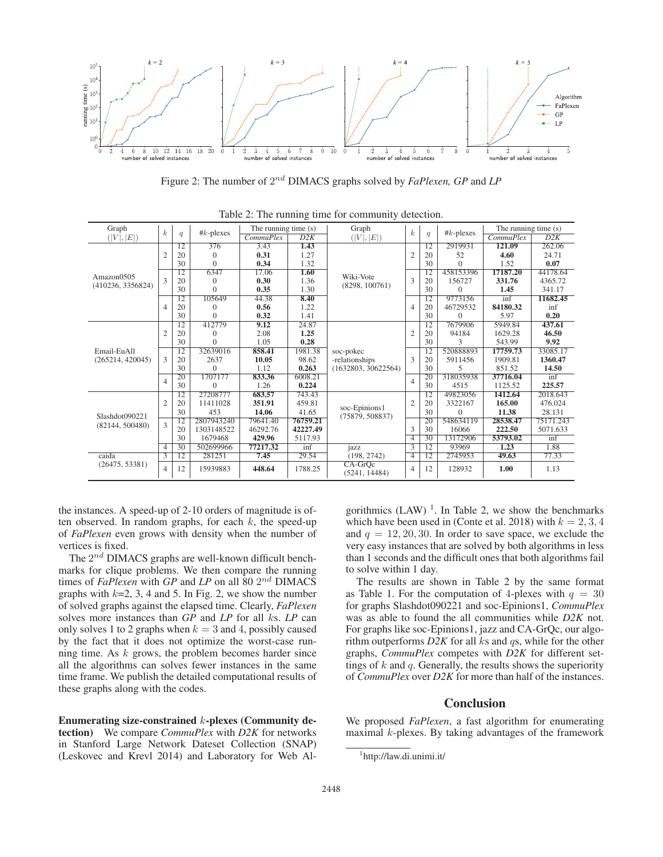

Figure 2: The number of 2nd DIMACS graphs solved by *FaPlexen, GP* and *LP*

|                   |                  |                 |              |                      | $\circ$          |                                                    |                  |                 |              |                      |           |
|-------------------|------------------|-----------------|--------------|----------------------|------------------|----------------------------------------------------|------------------|-----------------|--------------|----------------------|-----------|
| Graph             | $\boldsymbol{k}$ | q               | $#k$ -plexes | The running time (s) |                  | Graph                                              |                  | q               | $#k$ -plexes | The running time (s) |           |
| ( V ,  E )        |                  |                 |              | CommuPlex            | $\overline{D2K}$ | ( V ,  E )                                         | $\boldsymbol{k}$ |                 |              | $Commu$ Plex         | D2K       |
|                   |                  | 12              | 376          | 3.43                 | 1.43             | Wiki-Vote<br>(8298, 100761)                        |                  | 12              | 2919931      | 121.09               | 262.06    |
|                   | $\overline{c}$   | 20              | $\Omega$     | 0.31                 | 1.27             |                                                    | $\overline{2}$   | 20              | 52           | 4.60                 | 24.71     |
|                   |                  | 30              | $\Omega$     | 0.34                 | 1.32             |                                                    |                  | 30              | $\Omega$     | 1.52                 | 0.07      |
| Amazon0505        |                  | 12              | 6347         | 17.06                | 1.60             |                                                    | 3                | 12              | 458153396    | 17187.20             | 44178.64  |
| (410236, 3356824) | $\mathcal{L}$    | 20              | $\theta$     | 0.30                 | 1.36             |                                                    |                  | 20              | 156727       | 331.76               | 4365.72   |
|                   |                  | 30              | $\Omega$     | 0.35                 | 1.30             |                                                    |                  | 30              | $\Omega$     | 1.45                 | 341.17    |
|                   | $\overline{4}$   | 12              | 105649       | 44.38                | 8.40             |                                                    | $\overline{4}$   | 12              | 9773156      | inf                  | 11682.45  |
|                   |                  | 20              | $\Omega$     | 0.56                 | 1.22             |                                                    |                  | 20              | 46729532     | 84180.32             | inf       |
|                   |                  | 30              | $\Omega$     | 0.32                 | 1.41             |                                                    |                  | 30              | $\Omega$     | 5.97                 | 0.20      |
|                   | $\overline{2}$   | $\overline{12}$ | 412779       | 9.12                 | 24.87            |                                                    |                  | $\overline{12}$ | 7679906      | 5949.84              | 437.61    |
|                   |                  | 20              | $\theta$     | 2.08                 | 1.25             |                                                    | $\overline{2}$   | 20              | 94184        | 1629.28              | 46.50     |
|                   |                  | 30              | $\Omega$     | 1.05                 | 0.28             |                                                    |                  | 30              | 3            | 543.99               | 9.92      |
| Email-EuAll       | $\mathcal{L}$    | $\overline{12}$ | 32639016     | 858.41               | 1981.38          | soc-pokec<br>-relationships<br>(1632803, 30622564) |                  | $\overline{12}$ | 520888893    | 17759.73             | 33085.17  |
| (265214, 420045)  |                  | 20              | 2637         | 10.05                | 98.62            |                                                    | 3                | 20              | 5911456      | 1909.81              | 1360.47   |
|                   |                  | 30              | $\Omega$     | 1.12                 | 0.263            |                                                    |                  | 30              | 5            | 851.52               | 14.50     |
|                   | $\overline{4}$   | 20              | 1707177      | 833.36               | 6008.21          |                                                    | 4                | 20              | 318035938    | 37716.04             | inf       |
|                   |                  | 30              | $\Omega$     | 1.26                 | 0.224            |                                                    |                  | 30              | 4515         | 1125.52              | 225.57    |
|                   |                  | $\overline{12}$ | 27208777     | 683.57               | 743.43           |                                                    |                  | 12              | 49823056     | 1412.64              | 2018.643  |
|                   | $\overline{2}$   | 20              | 11411028     | 351.91               | 459.81           | soc-Epinions1                                      | $\overline{2}$   | 20              | 3322167      | 165.00               | 476.024   |
| Slashdot090221    |                  | 30              | 453          | 14.06                | 41.65            |                                                    |                  | 30              | $\Omega$     | 11.38                | 28.131    |
|                   | $\mathcal{L}$    | $\overline{12}$ | 2807943240   | 79641.40             | 76759.21         | (75879, 508837)                                    |                  | 20              | 548634119    | 28538.47             | 75171.243 |
| (82144, 500480)   |                  | 20              | 1303148522   | 46292.76             | 42227.49         |                                                    | 3                | 30              | 16066        | 222.50               | 5071.633  |
|                   |                  | 30              | 1679468      | 429.96               | 5117.93          |                                                    | $\overline{4}$   | $\overline{30}$ | 13172906     | 53793.02             | int       |
|                   | 4                | 30              | 502699966    | 77217.32             | inf              | jazz                                               | 3                | 12              | 93969        | 1.23                 | 1.88      |
| caida             | 3                | $\overline{12}$ | 281251       | 7.45                 | 29.54            | (198, 2742)                                        | $\overline{4}$   | $\overline{12}$ | 2745953      | 49.63                | 77.33     |
| (26475, 53381)    | $\overline{4}$   | 12              | 15939883     | 448.64               | 1788.25          | $CA-GrOc$<br>(5241, 14484)                         | $\overline{4}$   | 12              | 128932       | 1.00                 | 1.13      |

Table 2: The running time for community detection.

the instances. A speed-up of 2-10 orders of magnitude is often observed. In random graphs, for each  $k$ , the speed-up of *FaPlexen* even grows with density when the number of vertices is fixed.

The  $2^{nd}$  DIMACS graphs are well-known difficult benchmarks for clique problems. We then compare the running times of *FaPlexen* with *GP* and *LP* on all 80  $2^{nd}$  DIMACS graphs with  $k=2, 3, 4$  and 5. In Fig. 2, we show the number of solved graphs against the elapsed time. Clearly, *FaPlexen* solves more instances than *GP* and *LP* for all ks. *LP* can only solves 1 to 2 graphs when  $k = 3$  and 4, possibly caused by the fact that it does not optimize the worst-case running time. As  $k$  grows, the problem becomes harder since all the algorithms can solves fewer instances in the same time frame. We publish the detailed computational results of these graphs along with the codes.

Enumerating size-constrained k-plexes (Community detection) We compare *CommuPlex* with *D2K* for networks in Stanford Large Network Dateset Collection (SNAP) (Leskovec and Krevl 2014) and Laboratory for Web Al-

gorithmics (LAW)  $<sup>1</sup>$ . In Table 2, we show the benchmarks</sup> which have been used in (Conte et al. 2018) with  $k = 2, 3, 4$ and  $q = 12, 20, 30$ . In order to save space, we exclude the very easy instances that are solved by both algorithms in less than 1 seconds and the difficult ones that both algorithms fail to solve within 1 day.

The results are shown in Table 2 by the same format as Table 1. For the computation of 4-plexes with  $q = 30$ for graphs Slashdot090221 and soc-Epinions1, *CommuPlex* was as able to found the all communities while *D2K* not. For graphs like soc-Epinions1, jazz and CA-GrQc, our algorithm outperforms  $D2K$  for all ks and qs, while for the other graphs, *CommuPlex* competes with *D2K* for different settings of  $k$  and  $q$ . Generally, the results shows the superiority of *CommuPlex* over *D2K* for more than half of the instances.

### **Conclusion**

We proposed *FaPlexen*, a fast algorithm for enumerating maximal  $k$ -plexes. By taking advantages of the framework

<sup>1</sup> http://law.di.unimi.it/